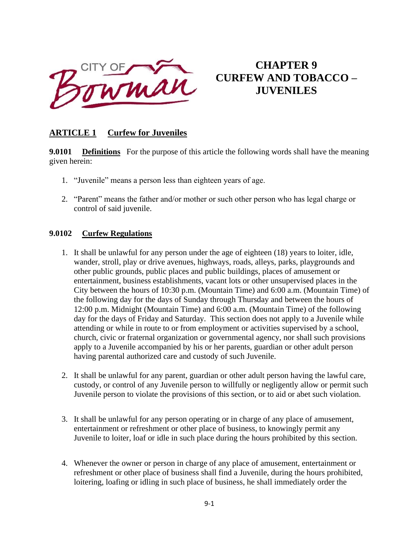

# **CHAPTER 9 CURFEW AND TOBACCO – JUVENILES**

# **ARTICLE 1 Curfew for Juveniles**

**9.0101 Definitions** For the purpose of this article the following words shall have the meaning given herein:

- 1. "Juvenile" means a person less than eighteen years of age.
- 2. "Parent" means the father and/or mother or such other person who has legal charge or control of said juvenile.

### **9.0102 Curfew Regulations**

- 1. It shall be unlawful for any person under the age of eighteen (18) years to loiter, idle, wander, stroll, play or drive avenues, highways, roads, alleys, parks, playgrounds and other public grounds, public places and public buildings, places of amusement or entertainment, business establishments, vacant lots or other unsupervised places in the City between the hours of 10:30 p.m. (Mountain Time) and 6:00 a.m. (Mountain Time) of the following day for the days of Sunday through Thursday and between the hours of 12:00 p.m. Midnight (Mountain Time) and 6:00 a.m. (Mountain Time) of the following day for the days of Friday and Saturday. This section does not apply to a Juvenile while attending or while in route to or from employment or activities supervised by a school, church, civic or fraternal organization or governmental agency, nor shall such provisions apply to a Juvenile accompanied by his or her parents, guardian or other adult person having parental authorized care and custody of such Juvenile.
- 2. It shall be unlawful for any parent, guardian or other adult person having the lawful care, custody, or control of any Juvenile person to willfully or negligently allow or permit such Juvenile person to violate the provisions of this section, or to aid or abet such violation.
- 3. It shall be unlawful for any person operating or in charge of any place of amusement, entertainment or refreshment or other place of business, to knowingly permit any Juvenile to loiter, loaf or idle in such place during the hours prohibited by this section.
- 4. Whenever the owner or person in charge of any place of amusement, entertainment or refreshment or other place of business shall find a Juvenile, during the hours prohibited, loitering, loafing or idling in such place of business, he shall immediately order the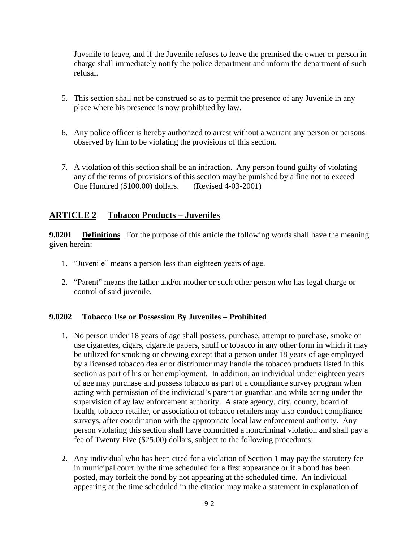Juvenile to leave, and if the Juvenile refuses to leave the premised the owner or person in charge shall immediately notify the police department and inform the department of such refusal.

- 5. This section shall not be construed so as to permit the presence of any Juvenile in any place where his presence is now prohibited by law.
- 6. Any police officer is hereby authorized to arrest without a warrant any person or persons observed by him to be violating the provisions of this section.
- 7. A violation of this section shall be an infraction. Any person found guilty of violating any of the terms of provisions of this section may be punished by a fine not to exceed One Hundred (\$100.00) dollars. (Revised 4-03-2001)

## **ARTICLE 2 Tobacco Products – Juveniles**

**9.0201 Definitions** For the purpose of this article the following words shall have the meaning given herein:

- 1. "Juvenile" means a person less than eighteen years of age.
- 2. "Parent" means the father and/or mother or such other person who has legal charge or control of said juvenile.

#### **9.0202 Tobacco Use or Possession By Juveniles – Prohibited**

- 1. No person under 18 years of age shall possess, purchase, attempt to purchase, smoke or use cigarettes, cigars, cigarette papers, snuff or tobacco in any other form in which it may be utilized for smoking or chewing except that a person under 18 years of age employed by a licensed tobacco dealer or distributor may handle the tobacco products listed in this section as part of his or her employment. In addition, an individual under eighteen years of age may purchase and possess tobacco as part of a compliance survey program when acting with permission of the individual's parent or guardian and while acting under the supervision of ay law enforcement authority. A state agency, city, county, board of health, tobacco retailer, or association of tobacco retailers may also conduct compliance surveys, after coordination with the appropriate local law enforcement authority. Any person violating this section shall have committed a noncriminal violation and shall pay a fee of Twenty Five (\$25.00) dollars, subject to the following procedures:
- 2. Any individual who has been cited for a violation of Section 1 may pay the statutory fee in municipal court by the time scheduled for a first appearance or if a bond has been posted, may forfeit the bond by not appearing at the scheduled time. An individual appearing at the time scheduled in the citation may make a statement in explanation of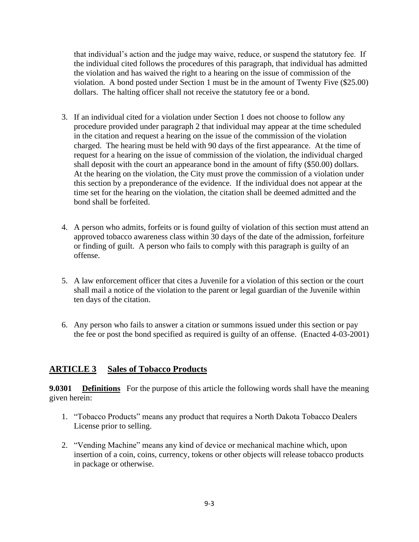that individual's action and the judge may waive, reduce, or suspend the statutory fee. If the individual cited follows the procedures of this paragraph, that individual has admitted the violation and has waived the right to a hearing on the issue of commission of the violation. A bond posted under Section 1 must be in the amount of Twenty Five (\$25.00) dollars. The halting officer shall not receive the statutory fee or a bond.

- 3. If an individual cited for a violation under Section 1 does not choose to follow any procedure provided under paragraph 2 that individual may appear at the time scheduled in the citation and request a hearing on the issue of the commission of the violation charged. The hearing must be held with 90 days of the first appearance. At the time of request for a hearing on the issue of commission of the violation, the individual charged shall deposit with the court an appearance bond in the amount of fifty (\$50.00) dollars. At the hearing on the violation, the City must prove the commission of a violation under this section by a preponderance of the evidence. If the individual does not appear at the time set for the hearing on the violation, the citation shall be deemed admitted and the bond shall be forfeited.
- 4. A person who admits, forfeits or is found guilty of violation of this section must attend an approved tobacco awareness class within 30 days of the date of the admission, forfeiture or finding of guilt. A person who fails to comply with this paragraph is guilty of an offense.
- 5. A law enforcement officer that cites a Juvenile for a violation of this section or the court shall mail a notice of the violation to the parent or legal guardian of the Juvenile within ten days of the citation.
- 6. Any person who fails to answer a citation or summons issued under this section or pay the fee or post the bond specified as required is guilty of an offense. (Enacted 4-03-2001)

## **ARTICLE 3 Sales of Tobacco Products**

**9.0301 Definitions** For the purpose of this article the following words shall have the meaning given herein:

- 1. "Tobacco Products" means any product that requires a North Dakota Tobacco Dealers License prior to selling.
- 2. "Vending Machine" means any kind of device or mechanical machine which, upon insertion of a coin, coins, currency, tokens or other objects will release tobacco products in package or otherwise.